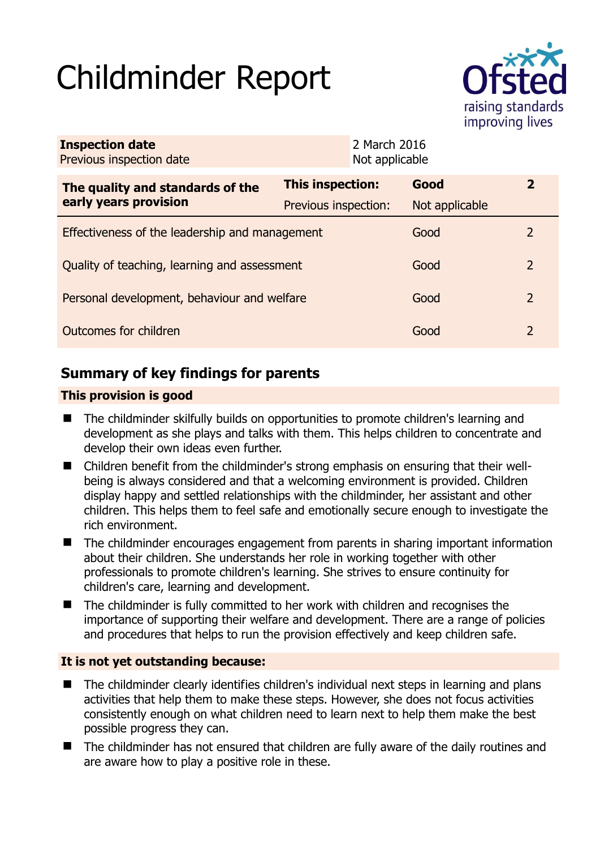# Childminder Report



| <b>Inspection date</b><br>Previous inspection date        |                         | 2 March 2016<br>Not applicable |                |               |
|-----------------------------------------------------------|-------------------------|--------------------------------|----------------|---------------|
| The quality and standards of the<br>early years provision | <b>This inspection:</b> |                                | Good           | $\mathbf{Z}$  |
|                                                           | Previous inspection:    |                                | Not applicable |               |
| Effectiveness of the leadership and management            |                         |                                | Good           | $\mathcal{L}$ |
| Quality of teaching, learning and assessment              |                         |                                | Good           | 2             |
| Personal development, behaviour and welfare               |                         |                                | Good           | 2             |
| Outcomes for children                                     |                         |                                | Good           | 2             |

## **Summary of key findings for parents**

#### **This provision is good**

- The childminder skilfully builds on opportunities to promote children's learning and development as she plays and talks with them. This helps children to concentrate and develop their own ideas even further.
- Children benefit from the childminder's strong emphasis on ensuring that their wellbeing is always considered and that a welcoming environment is provided. Children display happy and settled relationships with the childminder, her assistant and other children. This helps them to feel safe and emotionally secure enough to investigate the rich environment.
- The childminder encourages engagement from parents in sharing important information about their children. She understands her role in working together with other professionals to promote children's learning. She strives to ensure continuity for children's care, learning and development.
- The childminder is fully committed to her work with children and recognises the importance of supporting their welfare and development. There are a range of policies and procedures that helps to run the provision effectively and keep children safe.

#### **It is not yet outstanding because:**

- The childminder clearly identifies children's individual next steps in learning and plans activities that help them to make these steps. However, she does not focus activities consistently enough on what children need to learn next to help them make the best possible progress they can.
- The childminder has not ensured that children are fully aware of the daily routines and are aware how to play a positive role in these.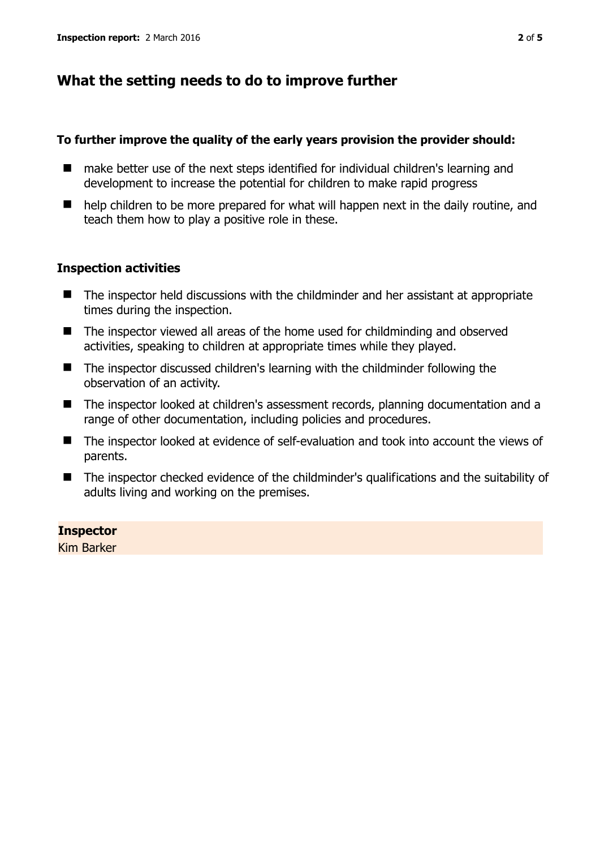## **What the setting needs to do to improve further**

#### **To further improve the quality of the early years provision the provider should:**

- make better use of the next steps identified for individual children's learning and development to increase the potential for children to make rapid progress
- $\blacksquare$  help children to be more prepared for what will happen next in the daily routine, and teach them how to play a positive role in these.

#### **Inspection activities**

- The inspector held discussions with the childminder and her assistant at appropriate times during the inspection.
- The inspector viewed all areas of the home used for childminding and observed activities, speaking to children at appropriate times while they played.
- The inspector discussed children's learning with the childminder following the observation of an activity.
- The inspector looked at children's assessment records, planning documentation and a range of other documentation, including policies and procedures.
- The inspector looked at evidence of self-evaluation and took into account the views of parents.
- The inspector checked evidence of the childminder's qualifications and the suitability of adults living and working on the premises.

#### **Inspector**

Kim Barker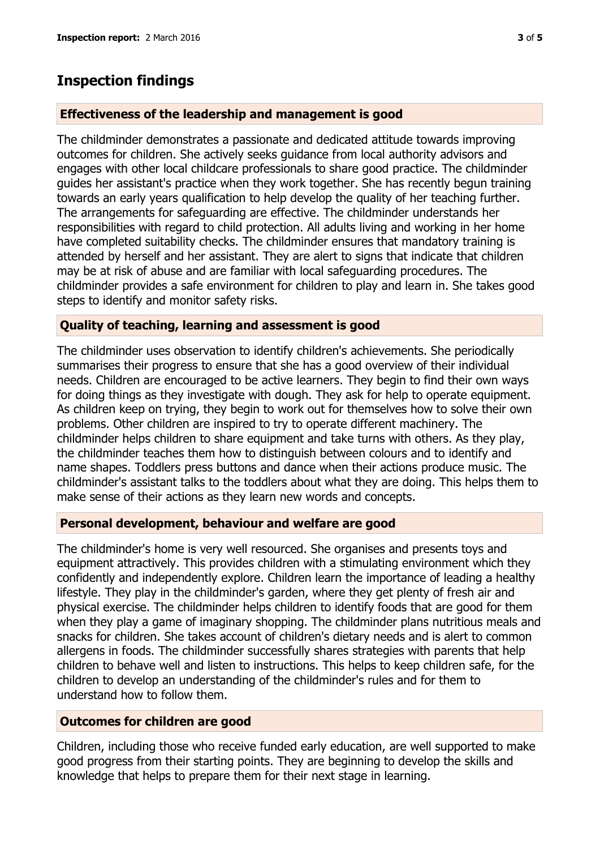## **Inspection findings**

#### **Effectiveness of the leadership and management is good**

The childminder demonstrates a passionate and dedicated attitude towards improving outcomes for children. She actively seeks guidance from local authority advisors and engages with other local childcare professionals to share good practice. The childminder guides her assistant's practice when they work together. She has recently begun training towards an early years qualification to help develop the quality of her teaching further. The arrangements for safeguarding are effective. The childminder understands her responsibilities with regard to child protection. All adults living and working in her home have completed suitability checks. The childminder ensures that mandatory training is attended by herself and her assistant. They are alert to signs that indicate that children may be at risk of abuse and are familiar with local safeguarding procedures. The childminder provides a safe environment for children to play and learn in. She takes good steps to identify and monitor safety risks.

#### **Quality of teaching, learning and assessment is good**

The childminder uses observation to identify children's achievements. She periodically summarises their progress to ensure that she has a good overview of their individual needs. Children are encouraged to be active learners. They begin to find their own ways for doing things as they investigate with dough. They ask for help to operate equipment. As children keep on trying, they begin to work out for themselves how to solve their own problems. Other children are inspired to try to operate different machinery. The childminder helps children to share equipment and take turns with others. As they play, the childminder teaches them how to distinguish between colours and to identify and name shapes. Toddlers press buttons and dance when their actions produce music. The childminder's assistant talks to the toddlers about what they are doing. This helps them to make sense of their actions as they learn new words and concepts.

#### **Personal development, behaviour and welfare are good**

The childminder's home is very well resourced. She organises and presents toys and equipment attractively. This provides children with a stimulating environment which they confidently and independently explore. Children learn the importance of leading a healthy lifestyle. They play in the childminder's garden, where they get plenty of fresh air and physical exercise. The childminder helps children to identify foods that are good for them when they play a game of imaginary shopping. The childminder plans nutritious meals and snacks for children. She takes account of children's dietary needs and is alert to common allergens in foods. The childminder successfully shares strategies with parents that help children to behave well and listen to instructions. This helps to keep children safe, for the children to develop an understanding of the childminder's rules and for them to understand how to follow them.

#### **Outcomes for children are good**

Children, including those who receive funded early education, are well supported to make good progress from their starting points. They are beginning to develop the skills and knowledge that helps to prepare them for their next stage in learning.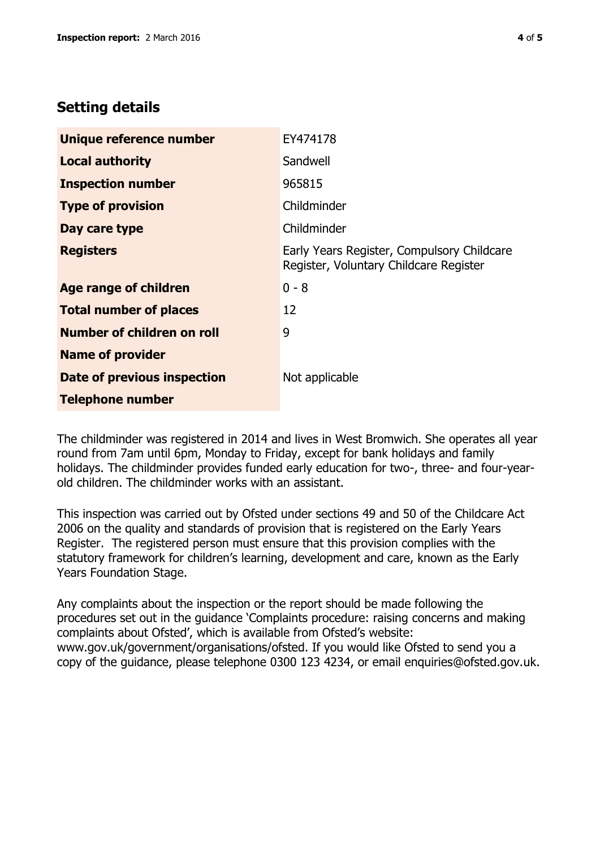## **Setting details**

| Unique reference number       | EY474178                                                                             |  |
|-------------------------------|--------------------------------------------------------------------------------------|--|
| <b>Local authority</b>        | Sandwell                                                                             |  |
| <b>Inspection number</b>      | 965815                                                                               |  |
| <b>Type of provision</b>      | Childminder                                                                          |  |
| Day care type                 | Childminder                                                                          |  |
| <b>Registers</b>              | Early Years Register, Compulsory Childcare<br>Register, Voluntary Childcare Register |  |
| <b>Age range of children</b>  | $0 - 8$                                                                              |  |
| <b>Total number of places</b> | 12                                                                                   |  |
| Number of children on roll    | 9                                                                                    |  |
| <b>Name of provider</b>       |                                                                                      |  |
| Date of previous inspection   | Not applicable                                                                       |  |
| <b>Telephone number</b>       |                                                                                      |  |

The childminder was registered in 2014 and lives in West Bromwich. She operates all year round from 7am until 6pm, Monday to Friday, except for bank holidays and family holidays. The childminder provides funded early education for two-, three- and four-yearold children. The childminder works with an assistant.

This inspection was carried out by Ofsted under sections 49 and 50 of the Childcare Act 2006 on the quality and standards of provision that is registered on the Early Years Register. The registered person must ensure that this provision complies with the statutory framework for children's learning, development and care, known as the Early Years Foundation Stage.

Any complaints about the inspection or the report should be made following the procedures set out in the guidance 'Complaints procedure: raising concerns and making complaints about Ofsted', which is available from Ofsted's website: www.gov.uk/government/organisations/ofsted. If you would like Ofsted to send you a copy of the guidance, please telephone 0300 123 4234, or email enquiries@ofsted.gov.uk.